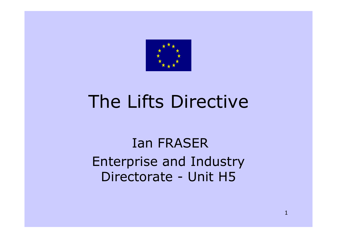

#### The Lifts Directive

Ian FRASEREnterprise and Industry Directorate - Unit H5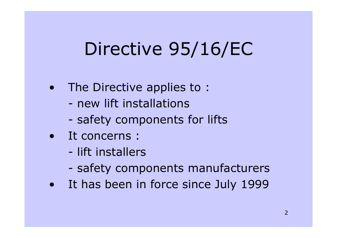# Directive 95/16/EC

- $\bullet$  The Directive applies to :
	- new lift installations
	- safety components for lifts
- It concerns :
	- lift installers
	- safety components manufacturers
- $\bullet$ It has been in force since July 1999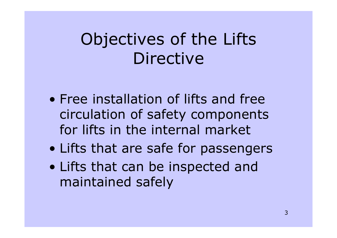#### Objectives of the Lifts Directive

- Free installation of lifts and free circulation of safety components for lifts in the internal market
- $\bullet$ Lifts that are safe for passengers
- $\bullet$  Lifts that can be inspected and maintained safely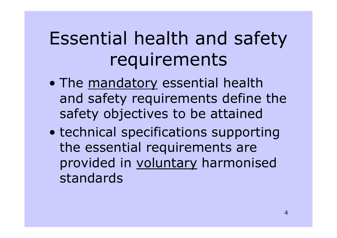# Essential health and safety requirements

- $\bullet$ The mandatory essential health and safety requirements define the safety objectives to be attained
- $\bullet$  technical specifications supporting the essential requirements are provided in voluntary harmonised standards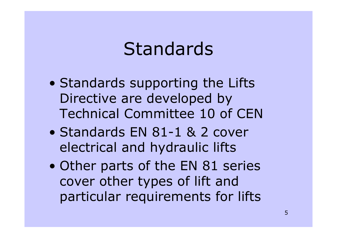#### Standards

- $\bullet$  Standards supporting the Lifts Directive are developed by Technical Committee 10 of CEN
- Standards EN 81-1 & 2 cover electrical and hydraulic lifts
- $\bullet$  Other parts of the EN 81 series cover other types of lift and particular requirements for lifts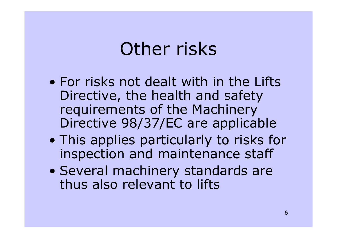## Other risks

- For risks not dealt with in the Lifts Directive, the health and safety requirements of the Machinery Directive 98/37/EC are applicable
- $\bullet$  This applies particularly to risks for inspection and maintenance staff
- $\bullet$  Several machinery standards are thus also relevant to lifts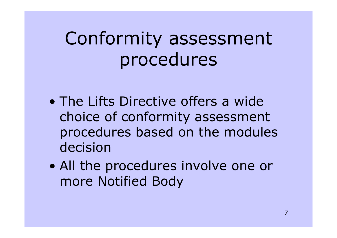# Conformity assessment procedures

- The Lifts Directive offers a wide choice of conformity assessment procedures based on the modules decision
- $\bullet$  All the procedures involve one or more Notified Body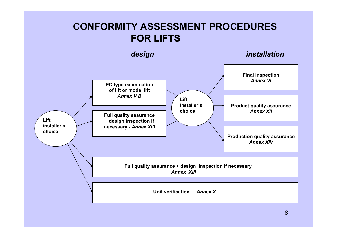#### **CONFORMITY ASSESSMENT PROCEDURES FOR LIFTS**

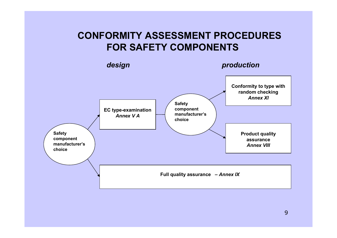#### **CONFORMITY ASSESSMENT PROCEDURES FOR SAFETY COMPONENTS**

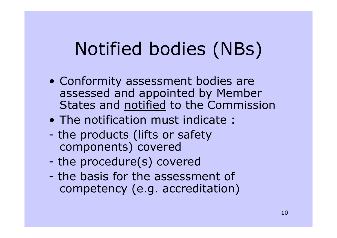# Notified bodies (NBs)

- Conformity assessment bodies are assessed and appointed by Member States and notified to the Commission
- The notification must indicate :
- the products (lifts or safety components) covered
- the procedure(s) covered
- the basis for the assessment of competency (e.g. accreditation)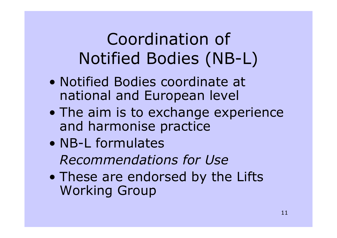Coordination of Notified Bodies (NB-L)

- Notified Bodies coordinate at national and European level
- $\bullet$  The aim is to exchange experience and harmonise practice
- NB-L formulates *Recommendations for Use*
- $\bullet$  These are endorsed by the Lifts Working Group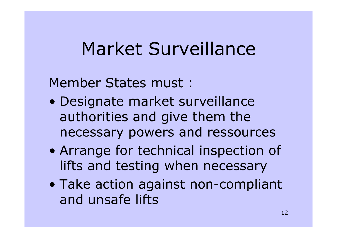## Market Surveillance

Member States must :

- $\bullet$  Designate market surveillance authorities and give them the necessary powers and ressources
- $\bullet$  Arrange for technical inspection of lifts and testing when necessary
- $\bullet$  Take action against non-compliant and unsafe lifts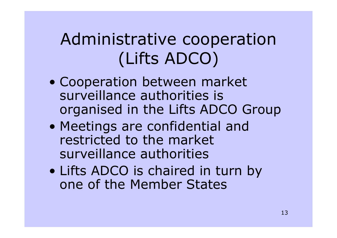### Administrative cooperation (Lifts ADCO)

- $\bullet$  Cooperation between market surveillance authorities is organised in the Lifts ADCO Group
- $\bullet$  Meetings are confidential and restricted to the market surveillance authorities
- $\bullet$  Lifts ADCO is chaired in turn by one of the Member States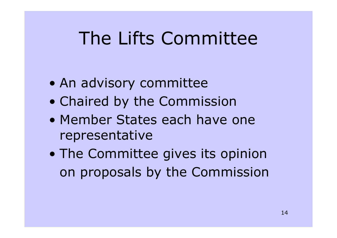# The Lifts Committee

- $\bullet$ An advisory committee
- $\bullet$ Chaired by the Commission
- Member States each have onerepresentative
- $\bullet$  The Committee gives its opinion on proposals by the Commission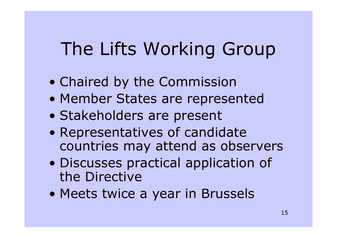# The Lifts Working Group

- $\bullet$ Chaired by the Commission
- $\bullet$ Member States are represented
- $\bullet$ Stakeholders are present
- $\bullet$  Representatives of candidate countries may attend as observers
- $\bullet$  Discusses practical application of the Directive
- $\bullet$ Meets twice a year in Brussels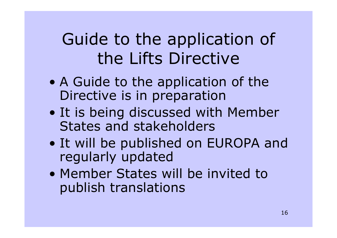#### Guide to the application of the Lifts Directive

- $\bullet$  A Guide to the application of the Directive is in preparation
- $\bullet$  It is being discussed with Member States and stakeholders
- $\bullet$  It will be published on EUROPA and regularly updated
- Member States will be invited to publish translations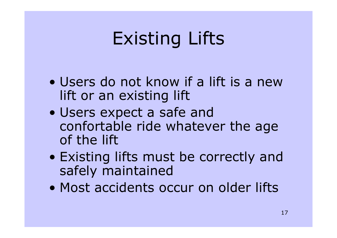# Existing Lifts

- Users do not know if a lift is a new lift or an existing lift
- $\bullet$  Users expect a safe and confortable ride whatever the age of the lift
- $\bullet$  Existing lifts must be correctly and safely maintained
- Most accidents occur on older lifts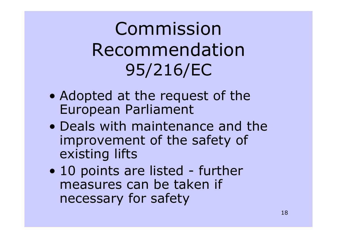Commission Recommendation 95/216/EC

- $\bullet$  Adopted at the request of the European Parliament
- Deals with maintenance and the improvement of the safety of existing lifts
- $\bullet$ 10 points are listed - further measures can be taken if necessary for safety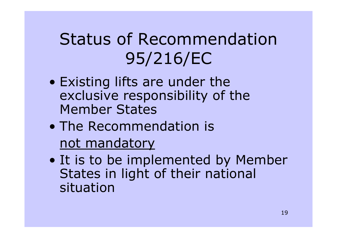#### Status of Recommendation 95/216/EC

- $\bullet$  Existing lifts are under the exclusive responsibility of the Member States
- The Recommendation is not mandatory
- $\bullet$  It is to be implemented by Member States in light of their national situation